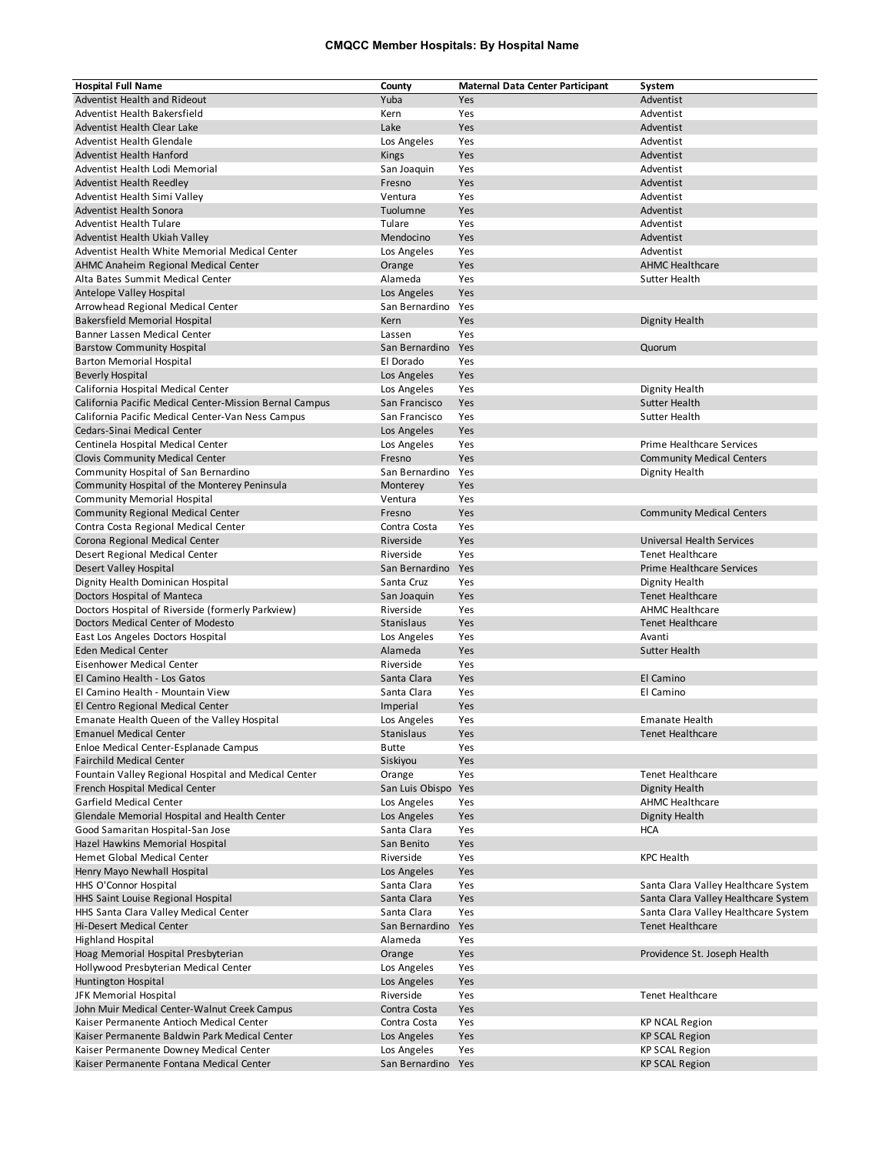## **CMQCC Member Hospitals: By Hospital Name**

| <b>Hospital Full Name</b>                               | County              | <b>Maternal Data Center Participant</b> | System                               |
|---------------------------------------------------------|---------------------|-----------------------------------------|--------------------------------------|
| Adventist Health and Rideout                            | Yuba                | Yes                                     | Adventist                            |
| Adventist Health Bakersfield                            | Kern                | Yes                                     | Adventist                            |
| Adventist Health Clear Lake                             | Lake                | Yes                                     | Adventist                            |
| Adventist Health Glendale                               | Los Angeles         | Yes                                     | Adventist                            |
| Adventist Health Hanford                                | Kings               | Yes                                     | Adventist                            |
| Adventist Health Lodi Memorial                          | San Joaquin         | Yes                                     | Adventist                            |
| <b>Adventist Health Reedley</b>                         | Fresno              | Yes                                     | Adventist                            |
|                                                         | Ventura             | Yes                                     | Adventist                            |
| Adventist Health Simi Valley                            |                     |                                         |                                      |
| Adventist Health Sonora                                 | Tuolumne            | Yes                                     | Adventist                            |
| <b>Adventist Health Tulare</b>                          | Tulare              | Yes                                     | Adventist                            |
| Adventist Health Ukiah Valley                           | Mendocino           | Yes                                     | Adventist                            |
| Adventist Health White Memorial Medical Center          | Los Angeles         | Yes                                     | Adventist                            |
| AHMC Anaheim Regional Medical Center                    | Orange              | Yes                                     | <b>AHMC Healthcare</b>               |
| Alta Bates Summit Medical Center                        | Alameda             | Yes                                     | Sutter Health                        |
| Antelope Valley Hospital                                | Los Angeles         | Yes                                     |                                      |
| Arrowhead Regional Medical Center                       | San Bernardino      | Yes                                     |                                      |
| <b>Bakersfield Memorial Hospital</b>                    | Kern                | Yes                                     | Dignity Health                       |
| Banner Lassen Medical Center                            | Lassen              | Yes                                     |                                      |
| <b>Barstow Community Hospital</b>                       | San Bernardino      | Yes                                     | Quorum                               |
|                                                         |                     |                                         |                                      |
| <b>Barton Memorial Hospital</b>                         | El Dorado           | Yes                                     |                                      |
| <b>Beverly Hospital</b>                                 | Los Angeles         | Yes                                     |                                      |
| California Hospital Medical Center                      | Los Angeles         | Yes                                     | Dignity Health                       |
| California Pacific Medical Center-Mission Bernal Campus | San Francisco       | Yes                                     | Sutter Health                        |
| California Pacific Medical Center-Van Ness Campus       | San Francisco       | Yes                                     | Sutter Health                        |
| Cedars-Sinai Medical Center                             | Los Angeles         | Yes                                     |                                      |
| Centinela Hospital Medical Center                       | Los Angeles         | Yes                                     | Prime Healthcare Services            |
| <b>Clovis Community Medical Center</b>                  | Fresno              | Yes                                     | <b>Community Medical Centers</b>     |
| Community Hospital of San Bernardino                    | San Bernardino      | Yes                                     | Dignity Health                       |
|                                                         |                     |                                         |                                      |
| Community Hospital of the Monterey Peninsula            | Monterey            | Yes                                     |                                      |
| <b>Community Memorial Hospital</b>                      | Ventura             | Yes                                     |                                      |
| <b>Community Regional Medical Center</b>                | Fresno              | Yes                                     | <b>Community Medical Centers</b>     |
| Contra Costa Regional Medical Center                    | Contra Costa        | Yes                                     |                                      |
| Corona Regional Medical Center                          | Riverside           | Yes                                     | Universal Health Services            |
| Desert Regional Medical Center                          | Riverside           | Yes                                     | <b>Tenet Healthcare</b>              |
| Desert Valley Hospital                                  | San Bernardino      | Yes                                     | <b>Prime Healthcare Services</b>     |
| Dignity Health Dominican Hospital                       | Santa Cruz          | Yes                                     | Dignity Health                       |
| Doctors Hospital of Manteca                             | San Joaquin         | Yes                                     | <b>Tenet Healthcare</b>              |
| Doctors Hospital of Riverside (formerly Parkview)       | Riverside           | Yes                                     | <b>AHMC Healthcare</b>               |
| Doctors Medical Center of Modesto                       | Stanislaus          | Yes                                     | <b>Tenet Healthcare</b>              |
|                                                         |                     |                                         |                                      |
| East Los Angeles Doctors Hospital                       | Los Angeles         | Yes                                     | Avanti                               |
| <b>Eden Medical Center</b>                              | Alameda             | Yes                                     | <b>Sutter Health</b>                 |
| <b>Eisenhower Medical Center</b>                        | Riverside           | Yes                                     |                                      |
| El Camino Health - Los Gatos                            | Santa Clara         | Yes                                     | El Camino                            |
| El Camino Health - Mountain View                        | Santa Clara         | Yes                                     | El Camino                            |
| El Centro Regional Medical Center                       | Imperial            | Yes                                     |                                      |
| Emanate Health Queen of the Valley Hospital             | Los Angeles         | Yes                                     | <b>Emanate Health</b>                |
| <b>Emanuel Medical Center</b>                           | Stanislaus          | Yes                                     | <b>Tenet Healthcare</b>              |
| Enloe Medical Center-Esplanade Campus                   | <b>Butte</b>        | Yes                                     |                                      |
| <b>Fairchild Medical Center</b>                         | Siskiyou            | Yes                                     |                                      |
| Fountain Valley Regional Hospital and Medical Center    | Orange              | Yes                                     | Tenet Healthcare                     |
| French Hospital Medical Center                          | San Luis Obispo Yes |                                         | Dignity Health                       |
|                                                         |                     |                                         | <b>AHMC Healthcare</b>               |
| Garfield Medical Center                                 | Los Angeles         | Yes                                     |                                      |
| Glendale Memorial Hospital and Health Center            | Los Angeles         | Yes                                     | Dignity Health                       |
| Good Samaritan Hospital-San Jose                        | Santa Clara         | Yes                                     | <b>HCA</b>                           |
| Hazel Hawkins Memorial Hospital                         | San Benito          | Yes                                     |                                      |
| Hemet Global Medical Center                             | Riverside           | Yes                                     | <b>KPC Health</b>                    |
| Henry Mayo Newhall Hospital                             | Los Angeles         | Yes                                     |                                      |
| HHS O'Connor Hospital                                   | Santa Clara         | Yes                                     | Santa Clara Valley Healthcare System |
| HHS Saint Louise Regional Hospital                      | Santa Clara         | Yes                                     | Santa Clara Valley Healthcare System |
| HHS Santa Clara Valley Medical Center                   | Santa Clara         | Yes                                     | Santa Clara Valley Healthcare System |
| Hi-Desert Medical Center                                | San Bernardino      | Yes                                     | <b>Tenet Healthcare</b>              |
| <b>Highland Hospital</b>                                | Alameda             | Yes                                     |                                      |
|                                                         |                     |                                         |                                      |
| Hoag Memorial Hospital Presbyterian                     | Orange              | Yes                                     | Providence St. Joseph Health         |
| Hollywood Presbyterian Medical Center                   | Los Angeles         | Yes                                     |                                      |
| Huntington Hospital                                     | Los Angeles         | Yes                                     |                                      |
| JFK Memorial Hospital                                   | Riverside           | Yes                                     | <b>Tenet Healthcare</b>              |
| John Muir Medical Center-Walnut Creek Campus            | Contra Costa        | Yes                                     |                                      |
| Kaiser Permanente Antioch Medical Center                | Contra Costa        | Yes                                     | <b>KP NCAL Region</b>                |
| Kaiser Permanente Baldwin Park Medical Center           | Los Angeles         | Yes                                     | <b>KP SCAL Region</b>                |
| Kaiser Permanente Downey Medical Center                 | Los Angeles         | Yes                                     | <b>KP SCAL Region</b>                |
| Kaiser Permanente Fontana Medical Center                | San Bernardino      | Yes                                     | <b>KP SCAL Region</b>                |
|                                                         |                     |                                         |                                      |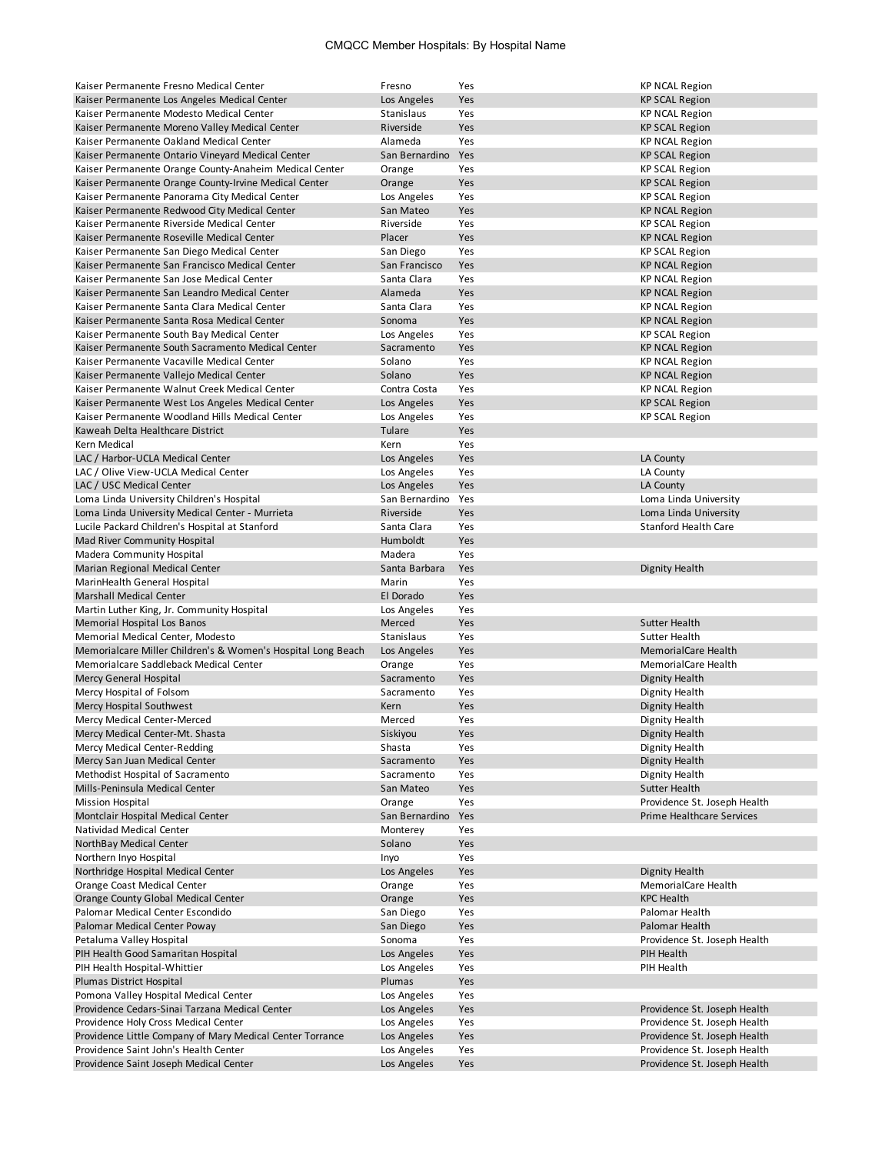## CMQCC Member Hospitals: By Hospital Name

| Kaiser Permanente Fresno Medical Center                                                     | Fresno                       | Yes        | <b>KP NCAL Region</b>                                        |
|---------------------------------------------------------------------------------------------|------------------------------|------------|--------------------------------------------------------------|
| Kaiser Permanente Los Angeles Medical Center                                                | Los Angeles                  | Yes        | <b>KP SCAL Region</b>                                        |
| Kaiser Permanente Modesto Medical Center                                                    | Stanislaus                   | Yes        | <b>KP NCAL Region</b>                                        |
| Kaiser Permanente Moreno Valley Medical Center                                              | Riverside                    | Yes        | <b>KP SCAL Region</b>                                        |
| Kaiser Permanente Oakland Medical Center                                                    | Alameda                      | Yes        | <b>KP NCAL Region</b>                                        |
| Kaiser Permanente Ontario Vinevard Medical Center                                           | San Bernardino               | Yes        | <b>KP SCAL Region</b>                                        |
| Kaiser Permanente Orange County-Anaheim Medical Center                                      | Orange                       | Yes        | <b>KP SCAL Region</b>                                        |
| Kaiser Permanente Orange County-Irvine Medical Center                                       | Orange                       | Yes        | <b>KP SCAL Region</b>                                        |
| Kaiser Permanente Panorama City Medical Center                                              | Los Angeles                  | Yes        | <b>KP SCAL Region</b>                                        |
| Kaiser Permanente Redwood City Medical Center                                               | San Mateo                    | Yes        | <b>KP NCAL Region</b>                                        |
| Kaiser Permanente Riverside Medical Center                                                  | Riverside                    | Yes        | <b>KP SCAL Region</b>                                        |
| Kaiser Permanente Roseville Medical Center                                                  | Placer                       | Yes        | <b>KP NCAL Region</b>                                        |
| Kaiser Permanente San Diego Medical Center                                                  | San Diego                    | Yes        | <b>KP SCAL Region</b>                                        |
| Kaiser Permanente San Francisco Medical Center<br>Kaiser Permanente San Jose Medical Center | San Francisco<br>Santa Clara | Yes<br>Yes | <b>KP NCAL Region</b>                                        |
| Kaiser Permanente San Leandro Medical Center                                                | Alameda                      | Yes        | <b>KP NCAL Region</b><br><b>KP NCAL Region</b>               |
| Kaiser Permanente Santa Clara Medical Center                                                | Santa Clara                  | Yes        | <b>KP NCAL Region</b>                                        |
| Kaiser Permanente Santa Rosa Medical Center                                                 | Sonoma                       | Yes        | <b>KP NCAL Region</b>                                        |
| Kaiser Permanente South Bay Medical Center                                                  | Los Angeles                  | Yes        | <b>KP SCAL Region</b>                                        |
| Kaiser Permanente South Sacramento Medical Center                                           | Sacramento                   | Yes        | <b>KP NCAL Region</b>                                        |
| Kaiser Permanente Vacaville Medical Center                                                  | Solano                       | Yes        | <b>KP NCAL Region</b>                                        |
| Kaiser Permanente Vallejo Medical Center                                                    | Solano                       | Yes        | <b>KP NCAL Region</b>                                        |
| Kaiser Permanente Walnut Creek Medical Center                                               | Contra Costa                 | Yes        | <b>KP NCAL Region</b>                                        |
| Kaiser Permanente West Los Angeles Medical Center                                           | Los Angeles                  | Yes        | <b>KP SCAL Region</b>                                        |
| Kaiser Permanente Woodland Hills Medical Center                                             | Los Angeles                  | Yes        | <b>KP SCAL Region</b>                                        |
| Kaweah Delta Healthcare District                                                            | Tulare                       | Yes        |                                                              |
| Kern Medical                                                                                | Kern                         | Yes        |                                                              |
| LAC / Harbor-UCLA Medical Center                                                            | Los Angeles                  | Yes        | LA County                                                    |
| LAC / Olive View-UCLA Medical Center                                                        | Los Angeles                  | Yes        | LA County                                                    |
| LAC / USC Medical Center                                                                    | Los Angeles                  | Yes        | LA County                                                    |
| Loma Linda University Children's Hospital                                                   | San Bernardino               | Yes        | Loma Linda University                                        |
| Loma Linda University Medical Center - Murrieta                                             | Riverside                    | Yes        | Loma Linda University                                        |
| Lucile Packard Children's Hospital at Stanford                                              | Santa Clara                  | Yes        | <b>Stanford Health Care</b>                                  |
| Mad River Community Hospital                                                                | Humboldt                     | Yes        |                                                              |
| Madera Community Hospital                                                                   | Madera                       | Yes        |                                                              |
| Marian Regional Medical Center                                                              | Santa Barbara                | Yes        | Dignity Health                                               |
| MarinHealth General Hospital<br><b>Marshall Medical Center</b>                              | Marin<br>El Dorado           | Yes<br>Yes |                                                              |
| Martin Luther King, Jr. Community Hospital                                                  | Los Angeles                  | Yes        |                                                              |
| Memorial Hospital Los Banos                                                                 | Merced                       | Yes        | Sutter Health                                                |
| Memorial Medical Center, Modesto                                                            | Stanislaus                   | Yes        | Sutter Health                                                |
| Memorialcare Miller Children's & Women's Hospital Long Beach                                | Los Angeles                  | Yes        | <b>MemorialCare Health</b>                                   |
| Memorialcare Saddleback Medical Center                                                      | Orange                       | Yes        | MemorialCare Health                                          |
| Mercy General Hospital                                                                      | Sacramento                   | Yes        | Dignity Health                                               |
| Mercy Hospital of Folsom                                                                    | Sacramento                   | Yes        | Dignity Health                                               |
| Mercy Hospital Southwest                                                                    | Kern                         | Yes        |                                                              |
| Mercy Medical Center-Merced                                                                 | Merced                       |            | <b>Dignity Health</b>                                        |
|                                                                                             |                              | Yes        | Dignity Health                                               |
| Mercy Medical Center-Mt. Shasta                                                             | Siskiyou                     | Yes        | Dignity Health                                               |
| Mercy Medical Center-Redding                                                                | Shasta                       | Yes        | Dignity Health                                               |
| Mercy San Juan Medical Center                                                               | Sacramento                   | Yes        | Dignity Health                                               |
| Methodist Hospital of Sacramento                                                            | Sacramento                   | Yes        | Dignity Health                                               |
| Mills-Peninsula Medical Center                                                              | San Mateo                    | Yes        | Sutter Health                                                |
| <b>Mission Hospital</b>                                                                     | Orange                       | Yes        | Providence St. Joseph Health                                 |
| Montclair Hospital Medical Center                                                           | San Bernardino               | Yes        | <b>Prime Healthcare Services</b>                             |
| Natividad Medical Center                                                                    | Monterey                     | Yes        |                                                              |
| NorthBay Medical Center                                                                     | Solano                       | Yes        |                                                              |
| Northern Inyo Hospital                                                                      | Inyo                         | Yes        |                                                              |
| Northridge Hospital Medical Center                                                          | Los Angeles                  | Yes        | Dignity Health                                               |
| Orange Coast Medical Center<br>Orange County Global Medical Center                          | Orange<br>Orange             | Yes<br>Yes | MemorialCare Health<br><b>KPC Health</b>                     |
| Palomar Medical Center Escondido                                                            | San Diego                    | Yes        | Palomar Health                                               |
| Palomar Medical Center Poway                                                                | San Diego                    | Yes        | Palomar Health                                               |
| Petaluma Valley Hospital                                                                    | Sonoma                       | Yes        | Providence St. Joseph Health                                 |
| PIH Health Good Samaritan Hospital                                                          | Los Angeles                  | Yes        | PIH Health                                                   |
| PIH Health Hospital-Whittier                                                                | Los Angeles                  | Yes        | PIH Health                                                   |
| Plumas District Hospital                                                                    | Plumas                       | Yes        |                                                              |
| Pomona Valley Hospital Medical Center                                                       | Los Angeles                  | Yes        |                                                              |
| Providence Cedars-Sinai Tarzana Medical Center                                              | Los Angeles                  | Yes        | Providence St. Joseph Health                                 |
| Providence Holy Cross Medical Center                                                        | Los Angeles                  | Yes        | Providence St. Joseph Health                                 |
| Providence Little Company of Mary Medical Center Torrance                                   | Los Angeles                  | Yes        | Providence St. Joseph Health                                 |
| Providence Saint John's Health Center<br>Providence Saint Joseph Medical Center             | Los Angeles<br>Los Angeles   | Yes<br>Yes | Providence St. Joseph Health<br>Providence St. Joseph Health |